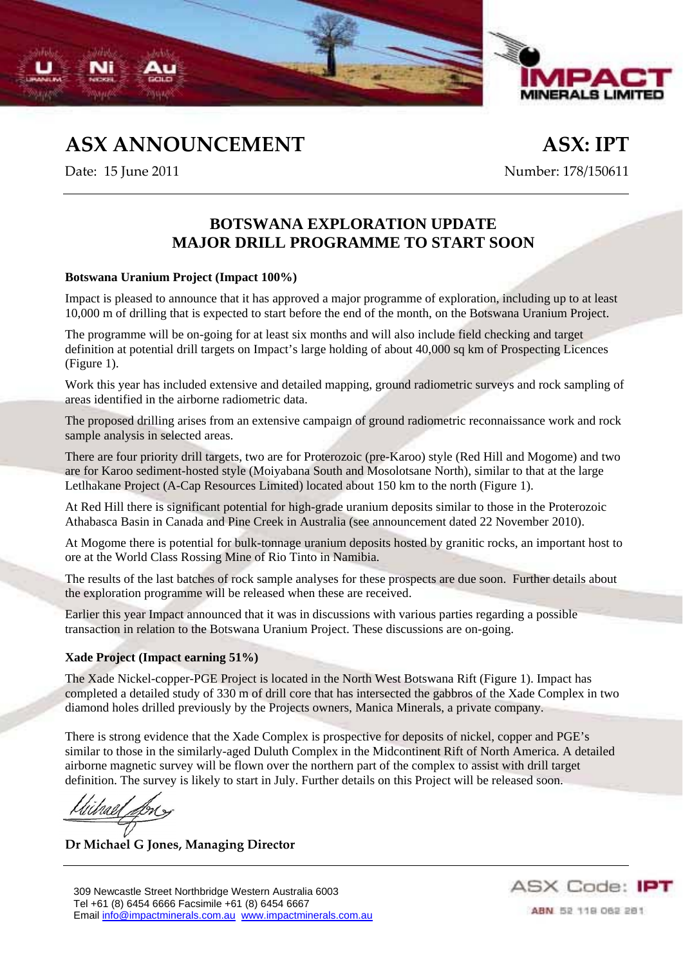



**ASX ANNOUNCEMENT ASX: IPT**

Date: 15 June 2011 Number: 178/150611

## **BOTSWANA EXPLORATION UPDATE MAJOR DRILL PROGRAMME TO START SOON**

## **Botswana Uranium Project (Impact 100%)**

Impact is pleased to announce that it has approved a major programme of exploration, including up to at least 10,000 m of drilling that is expected to start before the end of the month, on the Botswana Uranium Project.

The programme will be on-going for at least six months and will also include field checking and target definition at potential drill targets on Impact's large holding of about 40,000 sq km of Prospecting Licences (Figure 1).

Work this year has included extensive and detailed mapping, ground radiometric surveys and rock sampling of areas identified in the airborne radiometric data.

The proposed drilling arises from an extensive campaign of ground radiometric reconnaissance work and rock sample analysis in selected areas.

There are four priority drill targets, two are for Proterozoic (pre-Karoo) style (Red Hill and Mogome) and two are for Karoo sediment-hosted style (Moiyabana South and Mosolotsane North), similar to that at the large Letlhakane Project (A-Cap Resources Limited) located about 150 km to the north (Figure 1).

At Red Hill there is significant potential for high-grade uranium deposits similar to those in the Proterozoic Athabasca Basin in Canada and Pine Creek in Australia (see announcement dated 22 November 2010).

At Mogome there is potential for bulk-tonnage uranium deposits hosted by granitic rocks, an important host to ore at the World Class Rossing Mine of Rio Tinto in Namibia.

The results of the last batches of rock sample analyses for these prospects are due soon. Further details about the exploration programme will be released when these are received.

Earlier this year Impact announced that it was in discussions with various parties regarding a possible transaction in relation to the Botswana Uranium Project. These discussions are on-going.

## **Xade Project (Impact earning 51%)**

The Xade Nickel-copper-PGE Project is located in the North West Botswana Rift (Figure 1). Impact has completed a detailed study of 330 m of drill core that has intersected the gabbros of the Xade Complex in two diamond holes drilled previously by the Projects owners, Manica Minerals, a private company.

There is strong evidence that the Xade Complex is prospective for deposits of nickel, copper and PGE's similar to those in the similarly-aged Duluth Complex in the Midcontinent Rift of North America. A detailed airborne magnetic survey will be flown over the northern part of the complex to assist with drill target definition. The survey is likely to start in July. Further details on this Project will be released soon.

**Dr Michael G Jones, Managing Director**



ABN 52 119 062 281